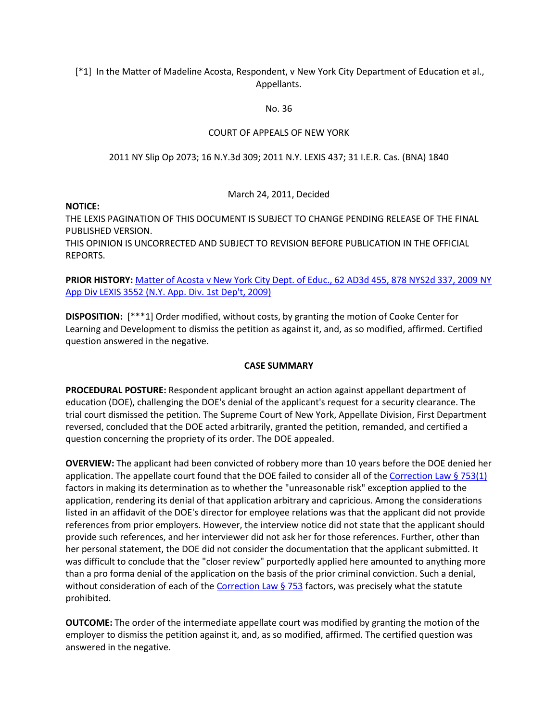[\*1] In the Matter of Madeline Acosta, Respondent, v New York City Department of Education et al., Appellants.

### No. 36

## COURT OF APPEALS OF NEW YORK

## 2011 NY Slip Op 2073; 16 N.Y.3d 309; 2011 N.Y. LEXIS 437; 31 I.E.R. Cas. (BNA) 1840

## March 24, 2011, Decided

### **NOTICE:**

THE LEXIS PAGINATION OF THIS DOCUMENT IS SUBJECT TO CHANGE PENDING RELEASE OF THE FINAL PUBLISHED VERSION. THIS OPINION IS UNCORRECTED AND SUBJECT TO REVISION BEFORE PUBLICATION IN THE OFFICIAL REPORTS.

## **PRIOR HISTORY:** Matter [of Acosta v New York City Dept. of Educ., 62 AD3d 455, 878 NYS2d 337, 2009 NY](http://www.lexisnexis.com.ezproxy.strose.edu/lnacui2api/mungo/lexseestat.do?bct=A&risb=21_T12065389755&homeCsi=9096&A=0.08636654962820212&urlEnc=ISO-8859-1&&citeString=62%20A.D.3d%20455&countryCode=USA)  [App Div LEXIS 3552 \(N.Y. App. Div. 1st Dep't, 2009\)](http://www.lexisnexis.com.ezproxy.strose.edu/lnacui2api/mungo/lexseestat.do?bct=A&risb=21_T12065389755&homeCsi=9096&A=0.08636654962820212&urlEnc=ISO-8859-1&&citeString=62%20A.D.3d%20455&countryCode=USA)

**DISPOSITION:** [\*\*\*1] Order modified, without costs, by granting the motion of Cooke Center for Learning and Development to dismiss the petition as against it, and, as so modified, affirmed. Certified question answered in the negative.

## **CASE SUMMARY**

**PROCEDURAL POSTURE:** Respondent applicant brought an action against appellant department of education (DOE), challenging the DOE's denial of the applicant's request for a security clearance. The trial court dismissed the petition. The Supreme Court of New York, Appellate Division, First Department reversed, concluded that the DOE acted arbitrarily, granted the petition, remanded, and certified a question concerning the propriety of its order. The DOE appealed.

**OVERVIEW:** The applicant had been convicted of robbery more than 10 years before the DOE denied her application. The appellate court found that the DOE failed to consider all of th[e Correction Law § 753\(1\)](http://www.lexisnexis.com.ezproxy.strose.edu/lnacui2api/mungo/lexseestat.do?bct=A&risb=21_T12065389755&homeCsi=9096&A=0.08636654962820212&urlEnc=ISO-8859-1&&citeString=N.Y.%20CORRECT.%20LAW%20753&countryCode=USA) factors in making its determination as to whether the "unreasonable risk" exception applied to the application, rendering its denial of that application arbitrary and capricious. Among the considerations listed in an affidavit of the DOE's director for employee relations was that the applicant did not provide references from prior employers. However, the interview notice did not state that the applicant should provide such references, and her interviewer did not ask her for those references. Further, other than her personal statement, the DOE did not consider the documentation that the applicant submitted. It was difficult to conclude that the "closer review" purportedly applied here amounted to anything more than a pro forma denial of the application on the basis of the prior criminal conviction. Such a denial, without consideration of each of th[e Correction Law § 753](http://www.lexisnexis.com.ezproxy.strose.edu/lnacui2api/mungo/lexseestat.do?bct=A&risb=21_T12065389755&homeCsi=9096&A=0.08636654962820212&urlEnc=ISO-8859-1&&citeString=N.Y.%20CORRECT.%20LAW%20753&countryCode=USA) factors, was precisely what the statute prohibited.

**OUTCOME:** The order of the intermediate appellate court was modified by granting the motion of the employer to dismiss the petition against it, and, as so modified, affirmed. The certified question was answered in the negative.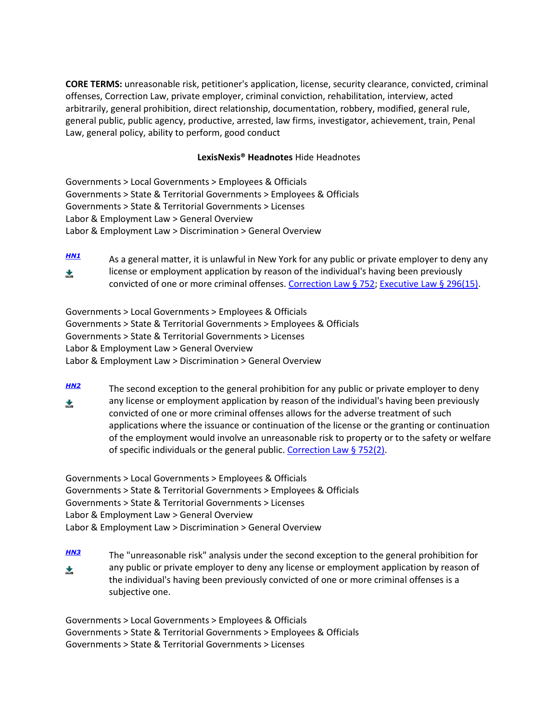**CORE TERMS:** unreasonable risk, petitioner's application, license, security clearance, convicted, criminal offenses, Correction Law, private employer, criminal conviction, rehabilitation, interview, acted arbitrarily, general prohibition, direct relationship, documentation, robbery, modified, general rule, general public, public agency, productive, arrested, law firms, investigator, achievement, train, Penal Law, general policy, ability to perform, good conduct

## **LexisNexis® Headnotes** Hide Headnotes

Governments > Local Governments > Employees & Officials Governments > State & Territorial Governments > Employees & Officials Governments > State & Territorial Governments > Licenses Labor & Employment Law > General Overview Labor & Employment Law > Discrimination > General Overview

*[HN1](http://www.lexisnexis.com.ezproxy.strose.edu/lnacui2api/frame.do?reloadEntirePage=true&rand=1306778911597&returnToKey=20_T12065389757&parent=docview&target=results_DocumentContent&tokenKey=rsh-23.896253.9685951656#clsccl1)* As a general matter, it is unlawful in New York for any public or private employer to deny any license or employment application by reason of the individual's having been previously ż. convicted of one or more criminal offenses[. Correction Law § 752;](http://www.lexisnexis.com.ezproxy.strose.edu/lnacui2api/mungo/lexseestat.do?bct=A&risb=21_T12065389755&homeCsi=9096&A=0.08636654962820212&urlEnc=ISO-8859-1&&citeString=N.Y.%20CORRECT.%20LAW%20752&countryCode=USA) [Executive Law § 296\(15\).](http://www.lexisnexis.com.ezproxy.strose.edu/lnacui2api/mungo/lexseestat.do?bct=A&risb=21_T12065389755&homeCsi=9096&A=0.08636654962820212&urlEnc=ISO-8859-1&&citeString=N.Y.%20EXEC.%20LAW%20296&countryCode=USA)

Governments > Local Governments > Employees & Officials Governments > State & Territorial Governments > Employees & Officials Governments > State & Territorial Governments > Licenses Labor & Employment Law > General Overview Labor & Employment Law > Discrimination > General Overview

*[HN2](http://www.lexisnexis.com.ezproxy.strose.edu/lnacui2api/frame.do?reloadEntirePage=true&rand=1306778911597&returnToKey=20_T12065389757&parent=docview&target=results_DocumentContent&tokenKey=rsh-23.896253.9685951656#clsccl2)* The second exception to the general prohibition for any public or private employer to deny any license or employment application by reason of the individual's having been previously ÷. convicted of one or more criminal offenses allows for the adverse treatment of such applications where the issuance or continuation of the license or the granting or continuation of the employment would involve an unreasonable risk to property or to the safety or welfare of specific individuals or the general public. [Correction Law § 752\(2\).](http://www.lexisnexis.com.ezproxy.strose.edu/lnacui2api/mungo/lexseestat.do?bct=A&risb=21_T12065389755&homeCsi=9096&A=0.08636654962820212&urlEnc=ISO-8859-1&&citeString=N.Y.%20CORRECT.%20LAW%20752&countryCode=USA)

Governments > Local Governments > Employees & Officials Governments > State & Territorial Governments > Employees & Officials Governments > State & Territorial Governments > Licenses Labor & Employment Law > General Overview Labor & Employment Law > Discrimination > General Overview

*[HN3](http://www.lexisnexis.com.ezproxy.strose.edu/lnacui2api/frame.do?reloadEntirePage=true&rand=1306778911597&returnToKey=20_T12065389757&parent=docview&target=results_DocumentContent&tokenKey=rsh-23.896253.9685951656#clsccl3)* The "unreasonable risk" analysis under the second exception to the general prohibition for any public or private employer to deny any license or employment application by reason of 太 the individual's having been previously convicted of one or more criminal offenses is a subjective one.

Governments > Local Governments > Employees & Officials Governments > State & Territorial Governments > Employees & Officials Governments > State & Territorial Governments > Licenses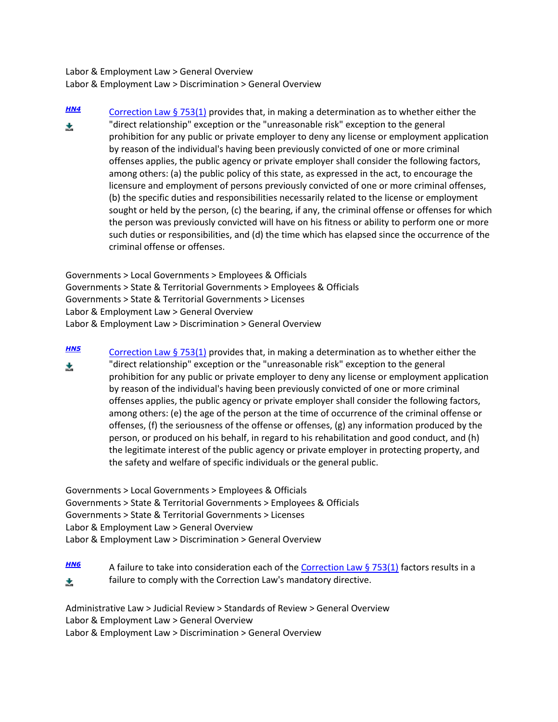Labor & Employment Law > General Overview Labor & Employment Law > Discrimination > General Overview

*[HN4](http://www.lexisnexis.com.ezproxy.strose.edu/lnacui2api/frame.do?reloadEntirePage=true&rand=1306778911597&returnToKey=20_T12065389757&parent=docview&target=results_DocumentContent&tokenKey=rsh-23.896253.9685951656#clsccl4)* [Correction Law § 753\(1\)](http://www.lexisnexis.com.ezproxy.strose.edu/lnacui2api/mungo/lexseestat.do?bct=A&risb=21_T12065389755&homeCsi=9096&A=0.08636654962820212&urlEnc=ISO-8859-1&&citeString=N.Y.%20CORRECT.%20LAW%20753&countryCode=USA) provides that, in making a determination as to whether either the "direct relationship" exception or the "unreasonable risk" exception to the general 太 prohibition for any public or private employer to deny any license or employment application by reason of the individual's having been previously convicted of one or more criminal offenses applies, the public agency or private employer shall consider the following factors, among others: (a) the public policy of this state, as expressed in the act, to encourage the licensure and employment of persons previously convicted of one or more criminal offenses, (b) the specific duties and responsibilities necessarily related to the license or employment sought or held by the person, (c) the bearing, if any, the criminal offense or offenses for which the person was previously convicted will have on his fitness or ability to perform one or more such duties or responsibilities, and (d) the time which has elapsed since the occurrence of the criminal offense or offenses.

Governments > Local Governments > Employees & Officials Governments > State & Territorial Governments > Employees & Officials Governments > State & Territorial Governments > Licenses Labor & Employment Law > General Overview Labor & Employment Law > Discrimination > General Overview

*[HN5](http://www.lexisnexis.com.ezproxy.strose.edu/lnacui2api/frame.do?reloadEntirePage=true&rand=1306778911597&returnToKey=20_T12065389757&parent=docview&target=results_DocumentContent&tokenKey=rsh-23.896253.9685951656#clsccl5)* [Correction Law § 753\(1\)](http://www.lexisnexis.com.ezproxy.strose.edu/lnacui2api/mungo/lexseestat.do?bct=A&risb=21_T12065389755&homeCsi=9096&A=0.08636654962820212&urlEnc=ISO-8859-1&&citeString=N.Y.%20CORRECT.%20LAW%20753&countryCode=USA) provides that, in making a determination as to whether either the "direct relationship" exception or the "unreasonable risk" exception to the general ÷. prohibition for any public or private employer to deny any license or employment application by reason of the individual's having been previously convicted of one or more criminal offenses applies, the public agency or private employer shall consider the following factors, among others: (e) the age of the person at the time of occurrence of the criminal offense or offenses, (f) the seriousness of the offense or offenses, (g) any information produced by the person, or produced on his behalf, in regard to his rehabilitation and good conduct, and (h) the legitimate interest of the public agency or private employer in protecting property, and the safety and welfare of specific individuals or the general public.

Governments > Local Governments > Employees & Officials Governments > State & Territorial Governments > Employees & Officials Governments > State & Territorial Governments > Licenses Labor & Employment Law > General Overview Labor & Employment Law > Discrimination > General Overview

*[HN6](http://www.lexisnexis.com.ezproxy.strose.edu/lnacui2api/frame.do?reloadEntirePage=true&rand=1306778911597&returnToKey=20_T12065389757&parent=docview&target=results_DocumentContent&tokenKey=rsh-23.896253.9685951656#clsccl6)* A failure to take into consideration each of the [Correction Law § 753\(1\)](http://www.lexisnexis.com.ezproxy.strose.edu/lnacui2api/mungo/lexseestat.do?bct=A&risb=21_T12065389755&homeCsi=9096&A=0.08636654962820212&urlEnc=ISO-8859-1&&citeString=N.Y.%20CORRECT.%20LAW%20753&countryCode=USA) factors results in a failure to comply with the Correction Law's mandatory directive. 太

Administrative Law > Judicial Review > Standards of Review > General Overview Labor & Employment Law > General Overview Labor & Employment Law > Discrimination > General Overview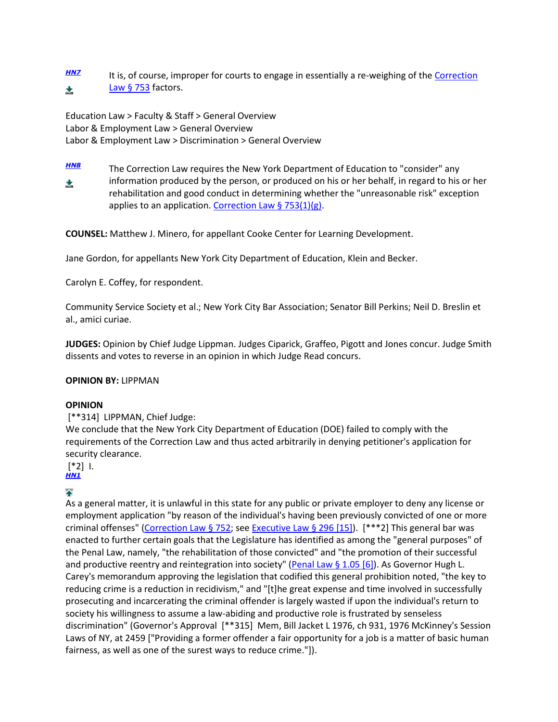**[HN7](http://www.lexisnexis.com.ezproxy.strose.edu/lnacui2api/frame.do?reloadEntirePage=true&rand=1306778911597&returnToKey=20_T12065389757&parent=docview&target=results_DocumentContent&tokenKey=rsh-23.896253.9685951656#clsccl7)** It is, of course, improper for courts to engage in essentially a re-weighing of the Correction [Law § 753](http://www.lexisnexis.com.ezproxy.strose.edu/lnacui2api/mungo/lexseestat.do?bct=A&risb=21_T12065389755&homeCsi=9096&A=0.08636654962820212&urlEnc=ISO-8859-1&&citeString=N.Y.%20CORRECT.%20LAW%20753&countryCode=USA) factors. 丈

Education Law > Faculty & Staff > General Overview Labor & Employment Law > General Overview Labor & Employment Law > Discrimination > General Overview

*[HN8](http://www.lexisnexis.com.ezproxy.strose.edu/lnacui2api/frame.do?reloadEntirePage=true&rand=1306778911597&returnToKey=20_T12065389757&parent=docview&target=results_DocumentContent&tokenKey=rsh-23.896253.9685951656#clsccl8)* The Correction Law requires the New York Department of Education to "consider" any information produced by the person, or produced on his or her behalf, in regard to his or her 丈 rehabilitation and good conduct in determining whether the "unreasonable risk" exception applies to an application. [Correction Law § 753\(1\)\(g\).](http://www.lexisnexis.com.ezproxy.strose.edu/lnacui2api/mungo/lexseestat.do?bct=A&risb=21_T12065389755&homeCsi=9096&A=0.08636654962820212&urlEnc=ISO-8859-1&&citeString=N.Y.%20CORRECT.%20LAW%20753&countryCode=USA)

**COUNSEL:** Matthew J. Minero, for appellant Cooke Center for Learning Development.

Jane Gordon, for appellants New York City Department of Education, Klein and Becker.

Carolyn E. Coffey, for respondent.

Community Service Society et al.; New York City Bar Association; Senator Bill Perkins; Neil D. Breslin et al., amici curiae.

**JUDGES:** Opinion by Chief Judge Lippman. Judges Ciparick, Graffeo, Pigott and Jones concur. Judge Smith dissents and votes to reverse in an opinion in which Judge Read concurs.

## **OPINION BY:** LIPPMAN

#### **OPINION**

#### [\*\*314] LIPPMAN, Chief Judge:

We conclude that the New York City Department of Education (DOE) failed to comply with the requirements of the Correction Law and thus acted arbitrarily in denying petitioner's application for security clearance.

[\*2] I.

# *[HN1](http://www.lexisnexis.com.ezproxy.strose.edu/lnacui2api/frame.do?reloadEntirePage=true&rand=1306778911597&returnToKey=20_T12065389757&parent=docview&target=results_DocumentContent&tokenKey=rsh-23.896253.9685951656#clscc1)*

# $\ddot{\bullet}$

As a general matter, it is unlawful in this state for any public or private employer to deny any license or employment application "by reason of the individual's having been previously convicted of one or more criminal offenses" [\(Correction Law § 752;](http://www.lexisnexis.com.ezproxy.strose.edu/lnacui2api/mungo/lexseestat.do?bct=A&risb=21_T12065389755&homeCsi=9096&A=0.08636654962820212&urlEnc=ISO-8859-1&&citeString=N.Y.%20CORRECT.%20LAW%20752&countryCode=USA) see [Executive Law § 296 \[15\]\)](http://www.lexisnexis.com.ezproxy.strose.edu/lnacui2api/mungo/lexseestat.do?bct=A&risb=21_T12065389755&homeCsi=9096&A=0.08636654962820212&urlEnc=ISO-8859-1&&citeString=N.Y.%20EXEC.%20LAW%20296&countryCode=USA). [\*\*\*2] This general bar was enacted to further certain goals that the Legislature has identified as among the "general purposes" of the Penal Law, namely, "the rehabilitation of those convicted" and "the promotion of their successful and productive reentry and reintegration into society" [\(Penal Law § 1.05 \[6\]\)](http://www.lexisnexis.com.ezproxy.strose.edu/lnacui2api/mungo/lexseestat.do?bct=A&risb=21_T12065389755&homeCsi=9096&A=0.08636654962820212&urlEnc=ISO-8859-1&&citeString=N.Y.%20PENAL%20LAW%201.05&countryCode=USA). As Governor Hugh L. Carey's memorandum approving the legislation that codified this general prohibition noted, "the key to reducing crime is a reduction in recidivism," and "[t]he great expense and time involved in successfully prosecuting and incarcerating the criminal offender is largely wasted if upon the individual's return to society his willingness to assume a law-abiding and productive role is frustrated by senseless discrimination" (Governor's Approval [\*\*315] Mem, Bill Jacket L 1976, ch 931, 1976 McKinney's Session Laws of NY, at 2459 ["Providing a former offender a fair opportunity for a job is a matter of basic human fairness, as well as one of the surest ways to reduce crime."]).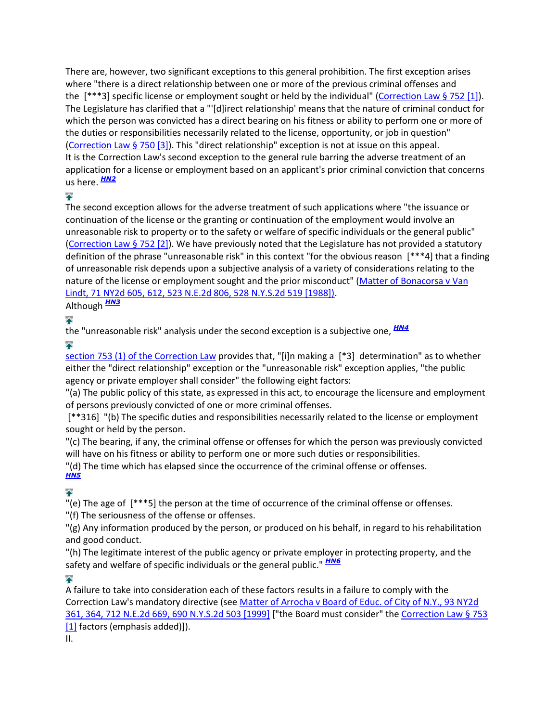There are, however, two significant exceptions to this general prohibition. The first exception arises where "there is a direct relationship between one or more of the previous criminal offenses and the [\*\*\*3] specific license or employment sought or held by the individual" [\(Correction Law § 752 \[1\]\)](http://www.lexisnexis.com.ezproxy.strose.edu/lnacui2api/mungo/lexseestat.do?bct=A&risb=21_T12065389755&homeCsi=9096&A=0.08636654962820212&urlEnc=ISO-8859-1&&citeString=N.Y.%20CORRECT.%20LAW%20752&countryCode=USA). The Legislature has clarified that a "'[d]irect relationship' means that the nature of criminal conduct for which the person was convicted has a direct bearing on his fitness or ability to perform one or more of the duties or responsibilities necessarily related to the license, opportunity, or job in question" [\(Correction Law § 750 \[3\]\)](http://www.lexisnexis.com.ezproxy.strose.edu/lnacui2api/mungo/lexseestat.do?bct=A&risb=21_T12065389755&homeCsi=9096&A=0.08636654962820212&urlEnc=ISO-8859-1&&citeString=N.Y.%20CORRECT.%20LAW%20750&countryCode=USA). This "direct relationship" exception is not at issue on this appeal. It is the Correction Law's second exception to the general rule barring the adverse treatment of an application for a license or employment based on an applicant's prior criminal conviction that concerns us here. *[HN2](http://www.lexisnexis.com.ezproxy.strose.edu/lnacui2api/frame.do?reloadEntirePage=true&rand=1306778911597&returnToKey=20_T12065389757&parent=docview&target=results_DocumentContent&tokenKey=rsh-23.896253.9685951656#clscc2)*

# 全

The second exception allows for the adverse treatment of such applications where "the issuance or continuation of the license or the granting or continuation of the employment would involve an unreasonable risk to property or to the safety or welfare of specific individuals or the general public" [\(Correction Law § 752 \[2\]\)](http://www.lexisnexis.com.ezproxy.strose.edu/lnacui2api/mungo/lexseestat.do?bct=A&risb=21_T12065389755&homeCsi=9096&A=0.08636654962820212&urlEnc=ISO-8859-1&&citeString=N.Y.%20CORRECT.%20LAW%20752&countryCode=USA). We have previously noted that the Legislature has not provided a statutory definition of the phrase "unreasonable risk" in this context "for the obvious reason [\*\*\*4] that a finding of unreasonable risk depends upon a subjective analysis of a variety of considerations relating to the nature of the license or employment sought and the prior misconduct" [\(Matter of Bonacorsa v Van](http://www.lexisnexis.com.ezproxy.strose.edu/lnacui2api/mungo/lexseestat.do?bct=A&risb=21_T12065389755&homeCsi=9096&A=0.08636654962820212&urlEnc=ISO-8859-1&&citeString=71%20N.Y.2d%20605,%20612&countryCode=USA)  [Lindt, 71 NY2d 605, 612, 523 N.E.2d 806, 528 N.Y.S.2d 519 \[1988\]\).](http://www.lexisnexis.com.ezproxy.strose.edu/lnacui2api/mungo/lexseestat.do?bct=A&risb=21_T12065389755&homeCsi=9096&A=0.08636654962820212&urlEnc=ISO-8859-1&&citeString=71%20N.Y.2d%20605,%20612&countryCode=USA)

Although *[HN3](http://www.lexisnexis.com.ezproxy.strose.edu/lnacui2api/frame.do?reloadEntirePage=true&rand=1306778911597&returnToKey=20_T12065389757&parent=docview&target=results_DocumentContent&tokenKey=rsh-23.896253.9685951656#clscc3)*

# $\blacktriangle$

the "unreasonable risk" analysis under the second exception is a subjective one, *[HN4](http://www.lexisnexis.com.ezproxy.strose.edu/lnacui2api/frame.do?reloadEntirePage=true&rand=1306778911597&returnToKey=20_T12065389757&parent=docview&target=results_DocumentContent&tokenKey=rsh-23.896253.9685951656#clscc4)*

# $\blacktriangle$

[section 753 \(1\) of the Correction Law](http://www.lexisnexis.com.ezproxy.strose.edu/lnacui2api/mungo/lexseestat.do?bct=A&risb=21_T12065389755&homeCsi=9096&A=0.08636654962820212&urlEnc=ISO-8859-1&&citeString=N.Y.%20CORRECT.%20LAW%20753&countryCode=USA) provides that, "[i]n making a [\*3] determination" as to whether either the "direct relationship" exception or the "unreasonable risk" exception applies, "the public agency or private employer shall consider" the following eight factors:

"(a) The public policy of this state, as expressed in this act, to encourage the licensure and employment of persons previously convicted of one or more criminal offenses.

[\*\*316] "(b) The specific duties and responsibilities necessarily related to the license or employment sought or held by the person.

"(c) The bearing, if any, the criminal offense or offenses for which the person was previously convicted will have on his fitness or ability to perform one or more such duties or responsibilities.

"(d) The time which has elapsed since the occurrence of the criminal offense or offenses. *[HN5](http://www.lexisnexis.com.ezproxy.strose.edu/lnacui2api/frame.do?reloadEntirePage=true&rand=1306778911597&returnToKey=20_T12065389757&parent=docview&target=results_DocumentContent&tokenKey=rsh-23.896253.9685951656#clscc5)*

# $\ddot{\bullet}$

"(e) The age of [\*\*\*5] the person at the time of occurrence of the criminal offense or offenses.

"(f) The seriousness of the offense or offenses.

"(g) Any information produced by the person, or produced on his behalf, in regard to his rehabilitation and good conduct.

"(h) The legitimate interest of the public agency or private employer in protecting property, and the safety and welfare of specific individuals or the general public." *[HN6](http://www.lexisnexis.com.ezproxy.strose.edu/lnacui2api/frame.do?reloadEntirePage=true&rand=1306778911597&returnToKey=20_T12065389757&parent=docview&target=results_DocumentContent&tokenKey=rsh-23.896253.9685951656#clscc6)*

✦

A failure to take into consideration each of these factors results in a failure to comply with the Correction Law's mandatory directive (see [Matter of Arrocha v Board of Educ. of City of N.Y., 93 NY2d](http://www.lexisnexis.com.ezproxy.strose.edu/lnacui2api/mungo/lexseestat.do?bct=A&risb=21_T12065389755&homeCsi=9096&A=0.08636654962820212&urlEnc=ISO-8859-1&&citeString=93%20N.Y.2d%20361,%20364&countryCode=USA)  [361, 364, 712 N.E.2d 669, 690 N.Y.S.2d](http://www.lexisnexis.com.ezproxy.strose.edu/lnacui2api/mungo/lexseestat.do?bct=A&risb=21_T12065389755&homeCsi=9096&A=0.08636654962820212&urlEnc=ISO-8859-1&&citeString=93%20N.Y.2d%20361,%20364&countryCode=USA) 503 [1999] ["the Board must consider" th[e Correction Law § 753](http://www.lexisnexis.com.ezproxy.strose.edu/lnacui2api/mungo/lexseestat.do?bct=A&risb=21_T12065389755&homeCsi=9096&A=0.08636654962820212&urlEnc=ISO-8859-1&&citeString=N.Y.%20CORRECT.%20LAW%20753&countryCode=USA)  [\[1\]](http://www.lexisnexis.com.ezproxy.strose.edu/lnacui2api/mungo/lexseestat.do?bct=A&risb=21_T12065389755&homeCsi=9096&A=0.08636654962820212&urlEnc=ISO-8859-1&&citeString=N.Y.%20CORRECT.%20LAW%20753&countryCode=USA) factors (emphasis added)]). II.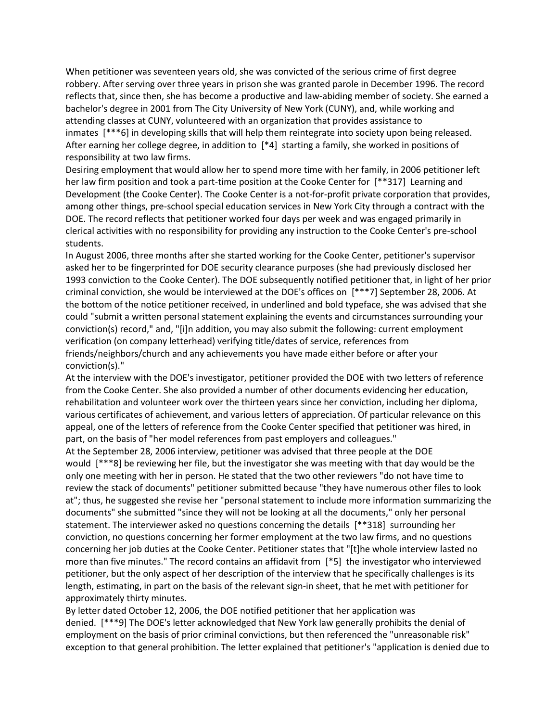When petitioner was seventeen years old, she was convicted of the serious crime of first degree robbery. After serving over three years in prison she was granted parole in December 1996. The record reflects that, since then, she has become a productive and law-abiding member of society. She earned a bachelor's degree in 2001 from The City University of New York (CUNY), and, while working and attending classes at CUNY, volunteered with an organization that provides assistance to inmates [\*\*\*6] in developing skills that will help them reintegrate into society upon being released. After earning her college degree, in addition to [\*4] starting a family, she worked in positions of responsibility at two law firms.

Desiring employment that would allow her to spend more time with her family, in 2006 petitioner left her law firm position and took a part-time position at the Cooke Center for [\*\*317] Learning and Development (the Cooke Center). The Cooke Center is a not-for-profit private corporation that provides, among other things, pre-school special education services in New York City through a contract with the DOE. The record reflects that petitioner worked four days per week and was engaged primarily in clerical activities with no responsibility for providing any instruction to the Cooke Center's pre-school students.

In August 2006, three months after she started working for the Cooke Center, petitioner's supervisor asked her to be fingerprinted for DOE security clearance purposes (she had previously disclosed her 1993 conviction to the Cooke Center). The DOE subsequently notified petitioner that, in light of her prior criminal conviction, she would be interviewed at the DOE's offices on [\*\*\*7] September 28, 2006. At the bottom of the notice petitioner received, in underlined and bold typeface, she was advised that she could "submit a written personal statement explaining the events and circumstances surrounding your conviction(s) record," and, "[i]n addition, you may also submit the following: current employment verification (on company letterhead) verifying title/dates of service, references from friends/neighbors/church and any achievements you have made either before or after your conviction(s)."

At the interview with the DOE's investigator, petitioner provided the DOE with two letters of reference from the Cooke Center. She also provided a number of other documents evidencing her education, rehabilitation and volunteer work over the thirteen years since her conviction, including her diploma, various certificates of achievement, and various letters of appreciation. Of particular relevance on this appeal, one of the letters of reference from the Cooke Center specified that petitioner was hired, in part, on the basis of "her model references from past employers and colleagues."

At the September 28, 2006 interview, petitioner was advised that three people at the DOE would [\*\*\*8] be reviewing her file, but the investigator she was meeting with that day would be the only one meeting with her in person. He stated that the two other reviewers "do not have time to review the stack of documents" petitioner submitted because "they have numerous other files to look at"; thus, he suggested she revise her "personal statement to include more information summarizing the documents" she submitted "since they will not be looking at all the documents," only her personal statement. The interviewer asked no questions concerning the details [\*\*318] surrounding her conviction, no questions concerning her former employment at the two law firms, and no questions concerning her job duties at the Cooke Center. Petitioner states that "[t]he whole interview lasted no more than five minutes." The record contains an affidavit from [\*5] the investigator who interviewed petitioner, but the only aspect of her description of the interview that he specifically challenges is its length, estimating, in part on the basis of the relevant sign-in sheet, that he met with petitioner for approximately thirty minutes.

By letter dated October 12, 2006, the DOE notified petitioner that her application was denied. [\*\*\*9] The DOE's letter acknowledged that New York law generally prohibits the denial of employment on the basis of prior criminal convictions, but then referenced the "unreasonable risk" exception to that general prohibition. The letter explained that petitioner's "application is denied due to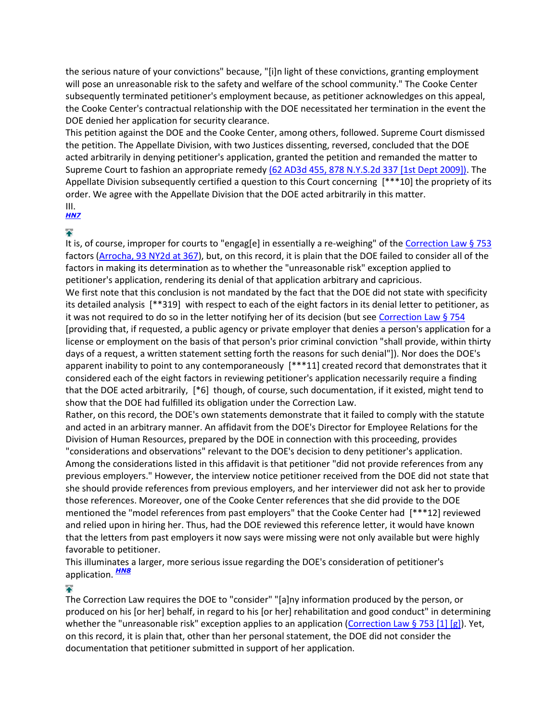the serious nature of your convictions" because, "[i]n light of these convictions, granting employment will pose an unreasonable risk to the safety and welfare of the school community." The Cooke Center subsequently terminated petitioner's employment because, as petitioner acknowledges on this appeal, the Cooke Center's contractual relationship with the DOE necessitated her termination in the event the DOE denied her application for security clearance.

This petition against the DOE and the Cooke Center, among others, followed. Supreme Court dismissed the petition. The Appellate Division, with two Justices dissenting, reversed, concluded that the DOE acted arbitrarily in denying petitioner's application, granted the petition and remanded the matter to Supreme Court to fashion an appropriate remedy [\(62 AD3d 455, 878 N.Y.S.2d 337 \[1st Dept 2009\]\).](http://www.lexisnexis.com.ezproxy.strose.edu/lnacui2api/mungo/lexseestat.do?bct=A&risb=21_T12065389755&homeCsi=9096&A=0.08636654962820212&urlEnc=ISO-8859-1&&citeString=62%20A.D.3d%20455&countryCode=USA) The Appellate Division subsequently certified a question to this Court concerning [\*\*\*10] the propriety of its order. We agree with the Appellate Division that the DOE acted arbitrarily in this matter. III.

# *[HN7](http://www.lexisnexis.com.ezproxy.strose.edu/lnacui2api/frame.do?reloadEntirePage=true&rand=1306778911597&returnToKey=20_T12065389757&parent=docview&target=results_DocumentContent&tokenKey=rsh-23.896253.9685951656#clscc7)*

# ¥

It is, of course, improper for courts to "engag[e] in essentially a re-weighing" of the [Correction Law § 753](http://www.lexisnexis.com.ezproxy.strose.edu/lnacui2api/mungo/lexseestat.do?bct=A&risb=21_T12065389755&homeCsi=9096&A=0.08636654962820212&urlEnc=ISO-8859-1&&citeString=N.Y.%20CORRECT.%20LAW%20753&countryCode=USA) factors [\(Arrocha, 93 NY2d at 367\)](http://www.lexisnexis.com.ezproxy.strose.edu/lnacui2api/mungo/lexseestat.do?bct=A&risb=21_T12065389755&homeCsi=9096&A=0.08636654962820212&urlEnc=ISO-8859-1&&citeString=93%20N.Y.2d%20361,%20367&countryCode=USA), but, on this record, it is plain that the DOE failed to consider all of the factors in making its determination as to whether the "unreasonable risk" exception applied to petitioner's application, rendering its denial of that application arbitrary and capricious. We first note that this conclusion is not mandated by the fact that the DOE did not state with specificity its detailed analysis [\*\*319] with respect to each of the eight factors in its denial letter to petitioner, as it was not required to do so in the letter notifying her of its decision (but see [Correction Law § 754](http://www.lexisnexis.com.ezproxy.strose.edu/lnacui2api/mungo/lexseestat.do?bct=A&risb=21_T12065389755&homeCsi=9096&A=0.08636654962820212&urlEnc=ISO-8859-1&&citeString=N.Y.%20CORRECT.%20LAW%20754&countryCode=USA) [providing that, if requested, a public agency or private employer that denies a person's application for a license or employment on the basis of that person's prior criminal conviction "shall provide, within thirty days of a request, a written statement setting forth the reasons for such denial"]). Nor does the DOE's apparent inability to point to any contemporaneously [\*\*\*11] created record that demonstrates that it considered each of the eight factors in reviewing petitioner's application necessarily require a finding that the DOE acted arbitrarily, [\*6] though, of course, such documentation, if it existed, might tend to show that the DOE had fulfilled its obligation under the Correction Law.

Rather, on this record, the DOE's own statements demonstrate that it failed to comply with the statute and acted in an arbitrary manner. An affidavit from the DOE's Director for Employee Relations for the Division of Human Resources, prepared by the DOE in connection with this proceeding, provides "considerations and observations" relevant to the DOE's decision to deny petitioner's application. Among the considerations listed in this affidavit is that petitioner "did not provide references from any previous employers." However, the interview notice petitioner received from the DOE did not state that she should provide references from previous employers, and her interviewer did not ask her to provide those references. Moreover, one of the Cooke Center references that she did provide to the DOE mentioned the "model references from past employers" that the Cooke Center had [\*\*\*12] reviewed and relied upon in hiring her. Thus, had the DOE reviewed this reference letter, it would have known that the letters from past employers it now says were missing were not only available but were highly favorable to petitioner.

This illuminates a larger, more serious issue regarding the DOE's consideration of petitioner's application. *[HN8](http://www.lexisnexis.com.ezproxy.strose.edu/lnacui2api/frame.do?reloadEntirePage=true&rand=1306778911597&returnToKey=20_T12065389757&parent=docview&target=results_DocumentContent&tokenKey=rsh-23.896253.9685951656#clscc8)*

# $\blacktriangle$

The Correction Law requires the DOE to "consider" "[a]ny information produced by the person, or produced on his [or her] behalf, in regard to his [or her] rehabilitation and good conduct" in determining whether the "unreasonable risk" exception applies to an application [\(Correction Law § 753 \[1\] \[g\]\)](http://www.lexisnexis.com.ezproxy.strose.edu/lnacui2api/mungo/lexseestat.do?bct=A&risb=21_T12065389755&homeCsi=9096&A=0.08636654962820212&urlEnc=ISO-8859-1&&citeString=N.Y.%20CORRECT.%20LAW%20753&countryCode=USA). Yet, on this record, it is plain that, other than her personal statement, the DOE did not consider the documentation that petitioner submitted in support of her application.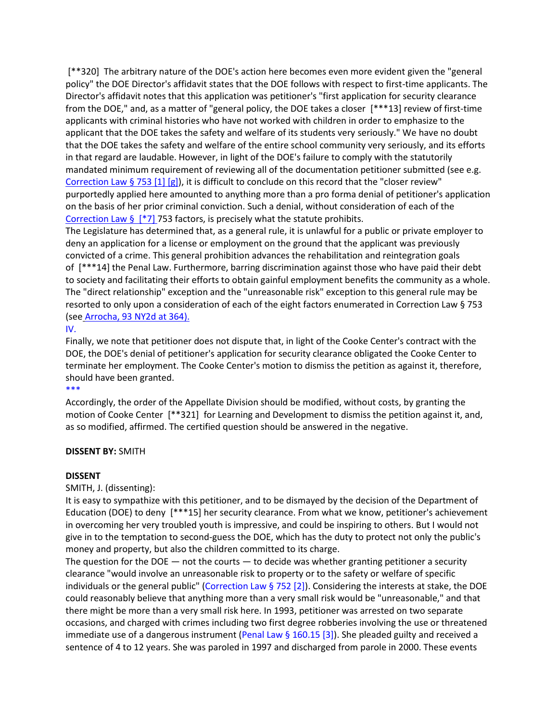[\*\*320] The arbitrary nature of the DOE's action here becomes even more evident given the "general policy" the DOE Director's affidavit states that the DOE follows with respect to first-time applicants. The Director's affidavit notes that this application was petitioner's "first application for security clearance from the DOE," and, as a matter of "general policy, the DOE takes a closer [\*\*\*13] review of first-time applicants with criminal histories who have not worked with children in order to emphasize to the applicant that the DOE takes the safety and welfare of its students very seriously." We have no doubt that the DOE takes the safety and welfare of the entire school community very seriously, and its efforts in that regard are laudable. However, in light of the DOE's failure to comply with the statutorily mandated minimum requirement of reviewing all of the documentation petitioner submitted (see e.g. [Correction Law § 753 \[1\] \[g\]\)](http://www.lexisnexis.com.ezproxy.strose.edu/lnacui2api/mungo/lexseestat.do?bct=A&risb=21_T12065389755&homeCsi=9096&A=0.08636654962820212&urlEnc=ISO-8859-1&&citeString=N.Y.%20CORRECT.%20LAW%20753&countryCode=USA), it is difficult to conclude on this record that the "closer review" purportedly applied here amounted to anything more than a pro forma denial of petitioner's application on the basis of her prior criminal conviction. Such a denial, without consideration of each of the Correction Law  $\S$  [\*7] 753 factors, is precisely what the statute prohibits.

The Legislature has determined that, as a general rule, it is unlawful for a public or private employer to deny an application for a license or employment on the ground that the applicant was previously convicted of a crime. This general prohibition advances the rehabilitation and reintegration goals of [\*\*\*14] the Penal Law. Furthermore, barring discrimination against those who have paid their debt to society and facilitating their efforts to obtain gainful employment benefits the community as a whole. The "direct relationship" exception and the "unreasonable risk" exception to this general rule may be resorted to only upon a consideration of each of the eight factors enumerated in Correction Law § 753 (see [Arrocha, 93 NY2d at 364\).](http://www.lexisnexis.com.ezproxy.strose.edu/lnacui2api/mungo/lexseestat.do?bct=A&risb=21_T12065389755&homeCsi=9096&A=0.08636654962820212&urlEnc=ISO-8859-1&&citeString=93%20N.Y.2d%20361,%20364&countryCode=USA)

### [IV.](http://www.lexisnexis.com.ezproxy.strose.edu/lnacui2api/mungo/lexseestat.do?bct=A&risb=21_T12065389755&homeCsi=9096&A=0.08636654962820212&urlEnc=ISO-8859-1&&citeString=N.Y.%20CORRECT.%20LAW%20753&countryCode=USA)

Finally, we note that petitioner does not dispute that, in light of the Cooke Center's contract with the DOE, the DOE's denial of petitioner's application for security clearance obligated the Cooke Center to terminate her employment. The Cooke Center's motion to dismiss the petition as against it, therefore, should have been granted.

#### [\\*\\*\\*](http://www.lexisnexis.com.ezproxy.strose.edu/lnacui2api/mungo/lexseestat.do?bct=A&risb=21_T12065389755&homeCsi=9096&A=0.08636654962820212&urlEnc=ISO-8859-1&&citeString=N.Y.%20CORRECT.%20LAW%20753&countryCode=USA)

Accordingly, the order of the Appellate Division should be modified, without costs, by granting the motion of Cooke Center [\*\*321] for Learning and Development to dismiss the petition against it, and, as so modified, affirmed. The certified question should be answered in the negative.

## **DISSENT BY:** SMITH

## **DISSENT**

SMITH, J. (dissenting):

It is easy to sympathize with this petitioner, and to be dismayed by the decision of the Department of Education (DOE) to deny [\*\*\*15] her security clearance. From what we know, petitioner's achievement in overcoming her very troubled youth is impressive, and could be inspiring to others. But I would not give in to the temptation to second-guess the DOE, which has the duty to protect not only the public's money and property, but also the children committed to its charge.

The question for the DOE  $-$  not the courts  $-$  to decide was whether granting petitioner a security clearance "would involve an unreasonable risk to property or to the safety or welfare of specific individuals or the general public" [\(Correction Law § 752 \[2\]\)](http://www.lexisnexis.com.ezproxy.strose.edu/lnacui2api/mungo/lexseestat.do?bct=A&risb=21_T12065389755&homeCsi=9096&A=0.08636654962820212&urlEnc=ISO-8859-1&&citeString=N.Y.%20CORRECT.%20LAW%20752&countryCode=USA). Considering the interests at stake, the DOE could reasonably believe that anything more than a very small risk would be "unreasonable," and that there might be more than a very small risk here. In 1993, petitioner was arrested on two separate occasions, and charged with crimes including two first degree robberies involving the use or threatened immediate use of a dangerous instrument (Penal Law  $\S$  160.15 [3]). She pleaded guilty and received a sentence of 4 to 12 years. She was paroled in 1997 and discharged from parole in 2000. These events